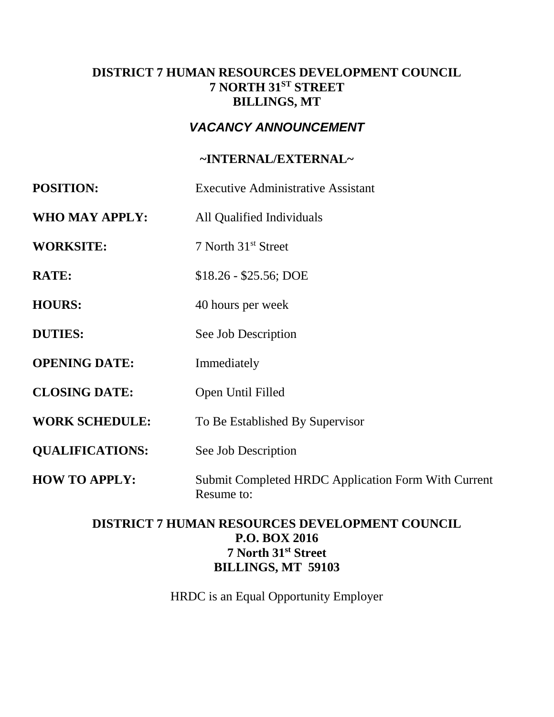## **DISTRICT 7 HUMAN RESOURCES DEVELOPMENT COUNCIL 7 NORTH 31ST STREET BILLINGS, MT**

# *VACANCY ANNOUNCEMENT*

## **~INTERNAL/EXTERNAL~**

| <b>POSITION:</b>       | <b>Executive Administrative Assistant</b>                         |  |
|------------------------|-------------------------------------------------------------------|--|
| WHO MAY APPLY:         | All Qualified Individuals                                         |  |
| <b>WORKSITE:</b>       | 7 North 31 <sup>st</sup> Street                                   |  |
| <b>RATE:</b>           | $$18.26 - $25.56$ ; DOE                                           |  |
| <b>HOURS:</b>          | 40 hours per week                                                 |  |
| <b>DUTIES:</b>         | See Job Description                                               |  |
| <b>OPENING DATE:</b>   | Immediately                                                       |  |
| <b>CLOSING DATE:</b>   | Open Until Filled                                                 |  |
| <b>WORK SCHEDULE:</b>  | To Be Established By Supervisor                                   |  |
| <b>QUALIFICATIONS:</b> | See Job Description                                               |  |
| <b>HOW TO APPLY:</b>   | Submit Completed HRDC Application Form With Current<br>Resume to: |  |

## **DISTRICT 7 HUMAN RESOURCES DEVELOPMENT COUNCIL P.O. BOX 2016 7 North 31st Street BILLINGS, MT 59103**

HRDC is an Equal Opportunity Employer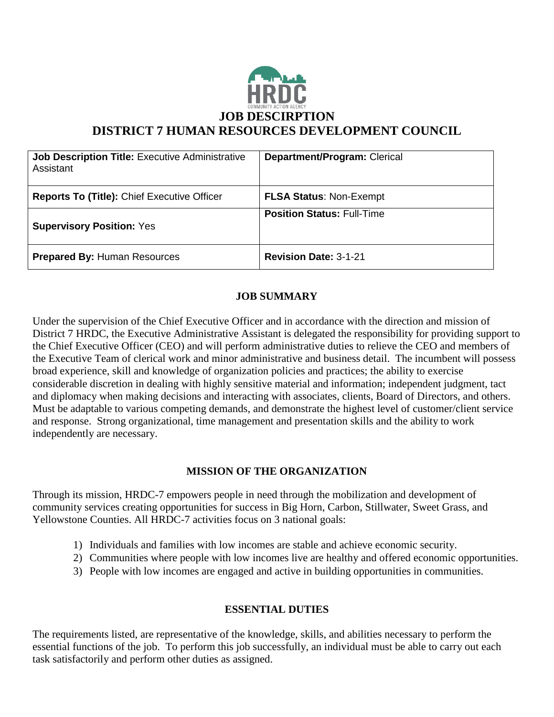

| <b>Job Description Title: Executive Administrative</b><br>Assistant | Department/Program: Clerical      |
|---------------------------------------------------------------------|-----------------------------------|
| <b>Reports To (Title): Chief Executive Officer</b>                  | <b>FLSA Status: Non-Exempt</b>    |
| <b>Supervisory Position: Yes</b>                                    | <b>Position Status: Full-Time</b> |
| <b>Prepared By: Human Resources</b>                                 | <b>Revision Date: 3-1-21</b>      |

## **JOB SUMMARY**

Under the supervision of the Chief Executive Officer and in accordance with the direction and mission of District 7 HRDC, the Executive Administrative Assistant is delegated the responsibility for providing support to the Chief Executive Officer (CEO) and will perform administrative duties to relieve the CEO and members of the Executive Team of clerical work and minor administrative and business detail. The incumbent will possess broad experience, skill and knowledge of organization policies and practices; the ability to exercise considerable discretion in dealing with highly sensitive material and information; independent judgment, tact and diplomacy when making decisions and interacting with associates, clients, Board of Directors, and others. Must be adaptable to various competing demands, and demonstrate the highest level of customer/client service and response. Strong organizational, time management and presentation skills and the ability to work independently are necessary.

### **MISSION OF THE ORGANIZATION**

Through its mission, HRDC-7 empowers people in need through the mobilization and development of community services creating opportunities for success in Big Horn, Carbon, Stillwater, Sweet Grass, and Yellowstone Counties. All HRDC-7 activities focus on 3 national goals:

- 1) Individuals and families with low incomes are stable and achieve economic security.
- 2) Communities where people with low incomes live are healthy and offered economic opportunities.
- 3) People with low incomes are engaged and active in building opportunities in communities.

### **ESSENTIAL DUTIES**

The requirements listed, are representative of the knowledge, skills, and abilities necessary to perform the essential functions of the job. To perform this job successfully, an individual must be able to carry out each task satisfactorily and perform other duties as assigned.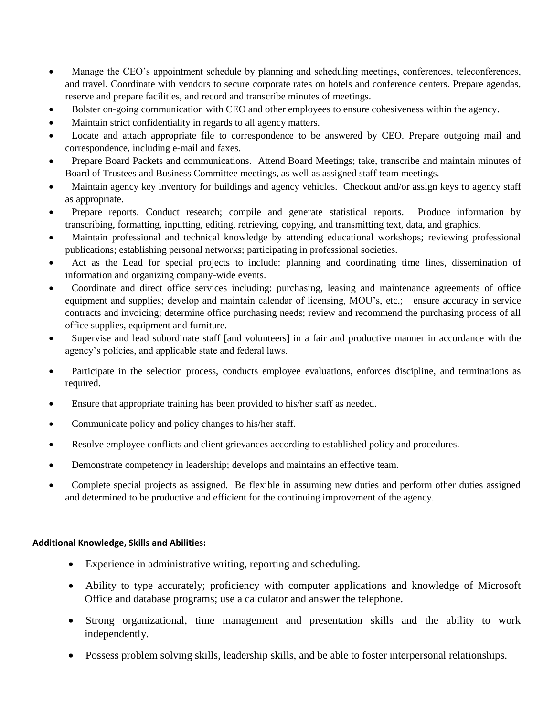- Manage the CEO's appointment schedule by planning and scheduling meetings, conferences, teleconferences, and travel. Coordinate with vendors to secure corporate rates on hotels and conference centers. Prepare agendas, reserve and prepare facilities, and record and transcribe minutes of meetings.
- Bolster on-going communication with CEO and other employees to ensure cohesiveness within the agency.
- Maintain strict confidentiality in regards to all agency matters.
- Locate and attach appropriate file to correspondence to be answered by CEO. Prepare outgoing mail and correspondence, including e-mail and faxes.
- Prepare Board Packets and communications. Attend Board Meetings; take, transcribe and maintain minutes of Board of Trustees and Business Committee meetings, as well as assigned staff team meetings.
- Maintain agency key inventory for buildings and agency vehicles. Checkout and/or assign keys to agency staff as appropriate.
- Prepare reports. Conduct research; compile and generate statistical reports. Produce information by transcribing, formatting, inputting, editing, retrieving, copying, and transmitting text, data, and graphics.
- Maintain professional and technical knowledge by attending educational workshops; reviewing professional publications; establishing personal networks; participating in professional societies.
- Act as the Lead for special projects to include: planning and coordinating time lines, dissemination of information and organizing company-wide events.
- Coordinate and direct office services including: purchasing, leasing and maintenance agreements of office equipment and supplies; develop and maintain calendar of licensing, MOU's, etc.; ensure accuracy in service contracts and invoicing; determine office purchasing needs; review and recommend the purchasing process of all office supplies, equipment and furniture.
- Supervise and lead subordinate staff [and volunteers] in a fair and productive manner in accordance with the agency's policies, and applicable state and federal laws.
- Participate in the selection process, conducts employee evaluations, enforces discipline, and terminations as required.
- Ensure that appropriate training has been provided to his/her staff as needed.
- Communicate policy and policy changes to his/her staff.
- Resolve employee conflicts and client grievances according to established policy and procedures.
- Demonstrate competency in leadership; develops and maintains an effective team.
- Complete special projects as assigned. Be flexible in assuming new duties and perform other duties assigned and determined to be productive and efficient for the continuing improvement of the agency.

#### **Additional Knowledge, Skills and Abilities:**

- Experience in administrative writing, reporting and scheduling.
- Ability to type accurately; proficiency with computer applications and knowledge of Microsoft Office and database programs; use a calculator and answer the telephone.
- Strong organizational, time management and presentation skills and the ability to work independently.
- Possess problem solving skills, leadership skills, and be able to foster interpersonal relationships.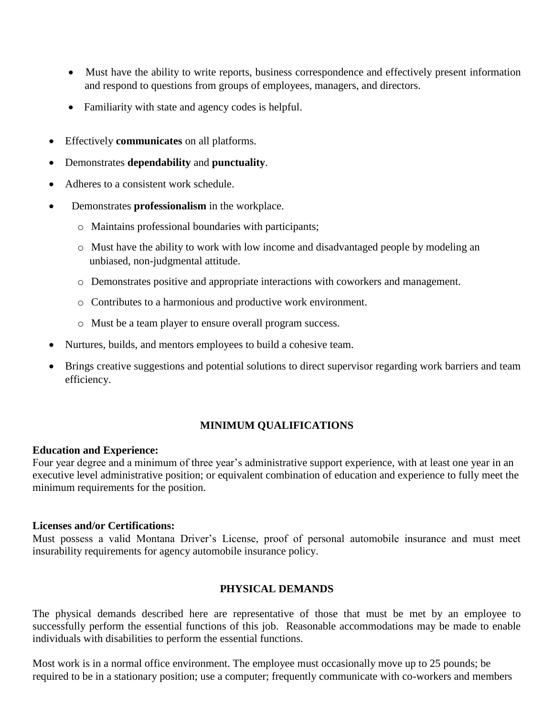- Must have the ability to write reports, business correspondence and effectively present information and respond to questions from groups of employees, managers, and directors.
- Familiarity with state and agency codes is helpful.
- Effectively **communicates** on all platforms.
- Demonstrates **dependability** and **punctuality**.
- Adheres to a consistent work schedule.
- Demonstrates **professionalism** in the workplace.
	- o Maintains professional boundaries with participants;
	- o Must have the ability to work with low income and disadvantaged people by modeling an unbiased, non-judgmental attitude.
	- o Demonstrates positive and appropriate interactions with coworkers and management.
	- o Contributes to a harmonious and productive work environment.
	- o Must be a team player to ensure overall program success.
- Nurtures, builds, and mentors employees to build a cohesive team.
- Brings creative suggestions and potential solutions to direct supervisor regarding work barriers and team efficiency.

### **MINIMUM QUALIFICATIONS**

#### **Education and Experience:**

Four year degree and a minimum of three year's administrative support experience, with at least one year in an executive level administrative position; or equivalent combination of education and experience to fully meet the minimum requirements for the position.

#### **Licenses and/or Certifications:**

Must possess a valid Montana Driver's License, proof of personal automobile insurance and must meet insurability requirements for agency automobile insurance policy.

#### **PHYSICAL DEMANDS**

The physical demands described here are representative of those that must be met by an employee to successfully perform the essential functions of this job. Reasonable accommodations may be made to enable individuals with disabilities to perform the essential functions.

Most work is in a normal office environment. The employee must occasionally move up to 25 pounds; be required to be in a stationary position; use a computer; frequently communicate with co-workers and members